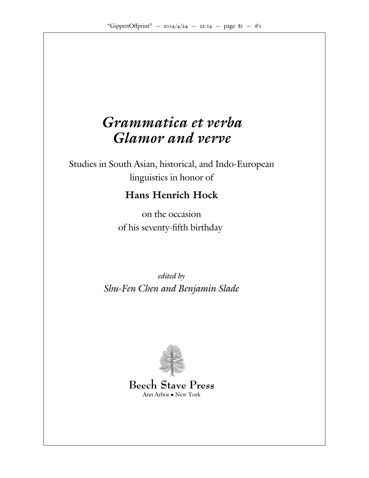# *Grammatica et verba Glamor and verve*

Studies in South Asian, historical, and Indo-European linguistics in honor of

# **Hans Henrich Hock**

on the occasion of his seventy-fifth birthday

edited by Shu-Fen Chen and Benjamin Slade



**Beech Stave Press** Ann Arbor • New York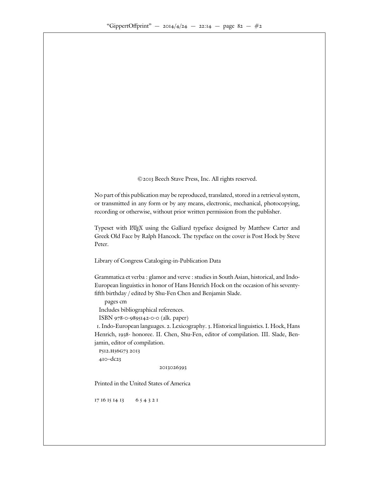

No part of this publication may be reproduced, translated, stored in a retrieval system, or transmitted in any form or by any means, electronic, mechanical, photocopying, recording or otherwise, without prior written permission from the publisher.

Typeset with LHEX using the Galliard typeface designed by Matthew Carter and Greek Old Face by Ralph Hancock. The typeface on the cover is Post Hock by Steve Peter.

Library of Congress Cataloging-in-Publication Data

Grammatica et verba : glamor and verve : studies in South Asian, historical, and Indo-European linguistics in honor of Hans Henrich Hock on the occasion of his seventyfifth birthday / edited by Shu-Fen Chen and Benjamin Slade.

pages cm

Includes bibliographical references.

 $ISBN \rightarrow -$  -9895 - (alk. paper)

. Indo-European languages. . Lexicography. . Historical linguistics. I. Hock, Hans Henrich, - honoree. II. Chen, Shu-Fen, editor of compilation. III. Slade, Benjamin, editor of compilation.

 $-dc$ 

p512.h56g73 2013

Printed in the United States of America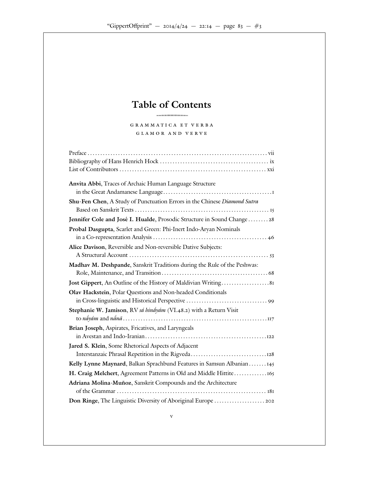### **Table of Contents** HHHHHHHHHHHHHHHHHHHHHHHHHHHHHHHHH

| Anvita Abbi, Traces of Archaic Human Language Structure                  |
|--------------------------------------------------------------------------|
|                                                                          |
| Shu-Fen Chen, A Study of Punctuation Errors in the Chinese Diamond Sutra |
|                                                                          |
| Jennifer Cole and José I. Hualde, Prosodic Structure in Sound Change     |
| Probal Dasgupta, Scarlet and Green: Phi-Inert Indo-Aryan Nominals        |
|                                                                          |
| Alice Davison, Reversible and Non-reversible Dative Subjects:            |
|                                                                          |
| Madhav M. Deshpande, Sanskrit Traditions during the Rule of the Peshwas: |
|                                                                          |
| Jost Gippert, An Outline of the History of Maldivian Writing             |
| Olav Hackstein, Polar Questions and Non-headed Conditionals              |
| in Cross-linguistic and Historical Perspective                           |
| Stephanie W. Jamison, RV sá hináyám (VI. . ) with a Return Visit         |
|                                                                          |
| Brian Joseph, Aspirates, Fricatives, and Laryngeals                      |
|                                                                          |
| Jared S. Klein, Some Rhetorical Aspects of Adjacent                      |
| Interstanzaic Phrasal Repetition in the Rigveda                          |
| Kelly Lynne Maynard, Balkan Sprachbund Features in Samsun Albanian       |
| H. Craig Melchert, Agreement Patterns in Old and Middle Hittite          |
| Adriana Molina-Muñoz, Sanskrit Compounds and the Architecture            |
|                                                                          |
| Don Ringe, The Linguistic Diversity of Aboriginal Europe                 |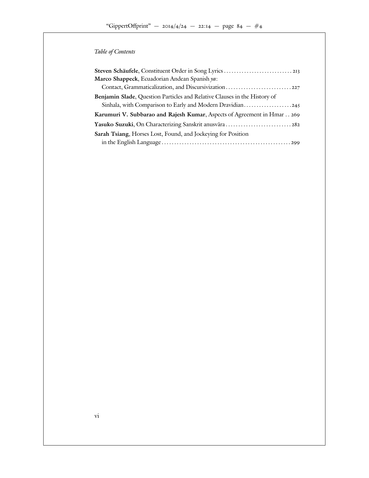### Table of Contents

| Steven Schäufele, Constituent Order in Song Lyrics<br>Marco Shappeck, Ecuadorian Andean Spanish ya:                                 |
|-------------------------------------------------------------------------------------------------------------------------------------|
| Benjamin Slade, Question Particles and Relative Clauses in the History of<br>Sinhala, with Comparison to Early and Modern Dravidian |
| Karumuri V. Subbarao and Rajesh Kumar, Aspects of Agreement in Hmar                                                                 |
| Yasuko Suzuki, On Characterizing Sanskrit anusvāra                                                                                  |
| Sarah Tsiang, Horses Lost, Found, and Jockeying for Position                                                                        |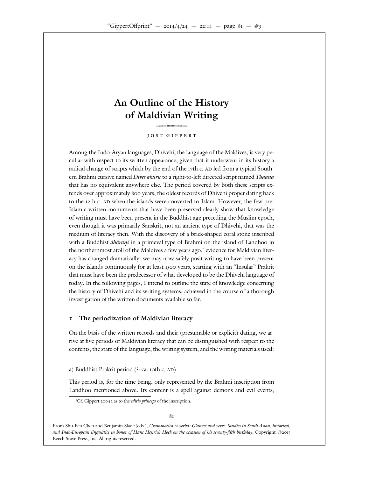HHHHHHHHHHHHHHHHHHHHHHHHHHHHHHHHH

Among the Indo-Aryan languages, Dhivehi, the language of the Maldives, is very peculiar with respect to its written appearance, given that it underwent in its history a radical change of scripts which by the end of the th c. led from a typical Southern Brahmi cursive named Dives akuru to a right-to-left directed script named Thaana that has no equivalent anywhere else. The period covered by both these scripts extends over approximately vears, the oldest records of Dhivehi proper dating back to the th c. when the islands were converted to Islam. However, the few pre-Islamic written monuments that have been preserved clearly show that knowledge of writing must have been present in the Buddhist age preceding the Muslim epoch, even though it was primarily Sanskrit, not an ancient type of Dhivehi, that was the medium of literacy then. With the discovery of a brick-shaped coral stone inscribed with a Buddhist *dhāraṇī* in a primeval type of Brahmi on the island of Landhoo in the northernmost atoll of the Maldives a few years ago, evidence for Maldivian literacy has changed dramatically: we may now safely posit writing to have been present on the islands continuously for at least years, starting with an "Insular" Prakrit that must have been the predecessor of what developed to be the Dhivehi language of today. In the following pages, I intend to outline the state of knowledge concerning the history of Dhivehi and its writing systems, achieved in the course of a thorough investigation of the written documents available so far.

#### **The periodization of Maldivian literacy**

On the basis of the written records and their (presumable or explicit) dating, we arrive at five periods of Maldivian literacy that can be distinguished with respect to the contents, the state of the language, the writing system, and the writing materials used:

a) Buddhist Prakrit period  $($  ?–ca. th c.  $)$ 

This period is, for the time being, only represented by the Brahmi inscription from Landhoo mentioned above. Its content is a spell against demons and evil events,

From Shu-Fen Chen and Benjamin Slade (eds.), Grammatica et verba: Glamor and verve. Studies in South Asian, historical, and Indo-European linguistics in honor of Hans Henrich Hock on the occasion of his seventy-fifth birthday. Copyright © Beech Stave Press, Inc. All rights reserved.

Cf. Gippert a as to the editio princeps of the inscription.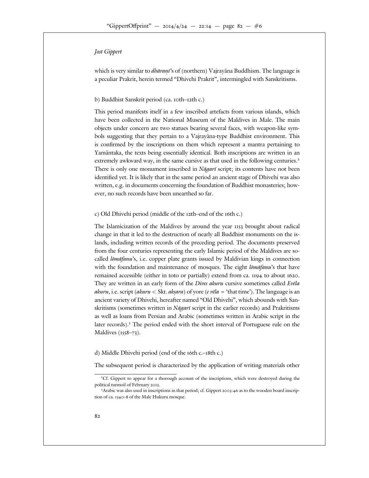which is very similar to *dhāraṇī*'s of (northern) Vajrayāna Buddhism. The language is a peculiar Prakrit, herein termed "Dhivehi Prakrit", intermingled with Sanskritisms.

#### b) Buddhist Sanskrit period (ca. th- th c.)

This period manifests itself in a few inscribed artefacts from various islands, which have been collected in the National Museum of the Maldives in Male. The main objects under concern are two statues bearing several faces, with weapon-like symbols suggesting that they pertain to a Vajrayana-type Buddhist environment. This is confirmed by the inscriptions on them which represent a mantra pertaining to Yamantaka, the texts being essentially identical. Both inscriptions are written in an ¯ extremely awkward way, in the same cursive as that used in the following centuries. There is only one monument inscribed in *Nāgarī* script; its contents have not been identified yet. It is likely that in the same period an ancient stage of Dhivehi was also written, e.g. in documents concerning the foundation of Buddhist monasteries; however, no such records have been unearthed so far.

#### c) Old Dhivehi period (middle of the  $-$ th–end of the  $-$ th c.)

The Islamicization of the Maldives by around the year brought about radical change in that it led to the destruction of nearly all Buddhist monuments on the islands, including written records of the preceding period. The documents preserved from the four centuries representing the early Islamic period of the Maldives are socalled lomafanu's, i.e. copper plate grants issued by Maldivian kings in connection with the foundation and maintenance of mosques. The eight  $l\bar{\sigma}m\bar{\alpha}fannu$ 's that have remained accessible (either in toto or partially) extend from ca. 1194 to about They are written in an early form of the *Dives akuru* cursive sometimes called *Evela* akuru, i.e. script (akuru  $<$  Skt. akṣara) of yore (e vēla = 'that time'). The language is an ancient variety of Dhivehi, hereafter named "Old Dhivehi", which abounds with Sanskritisms (sometimes written in  $N\bar{a}gari$  script in the earlier records) and Prakritisms as well as loans from Persian and Arabic (sometimes written in Arabic script in the later records). The period ended with the short interval of Portuguese rule on the Maldives  $($  -  $)$ .

#### d) Middle Dhivehi period (end of the  $\pm$  th c.)

The subsequent period is characterized by the application of writing materials other

Cf. Gippert to appear for a thorough account of the inscriptions, which were destroyed during the political turmoil of February

Arabic was also used in inscriptions in that period; cf. Gippert : as to the wooden board inscription of ca.  $-$  of the Male Hukuru mosque.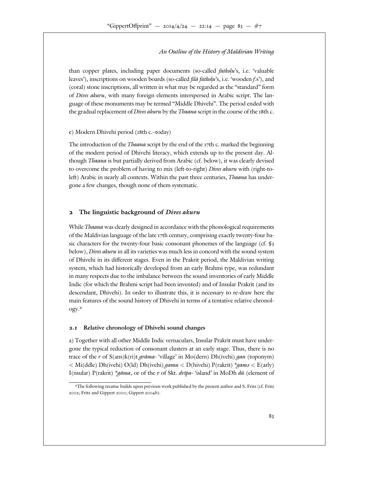than copper plates, including paper documents (so-called  $f$ atkolu's, i.e. 'valuable leaves'), inscriptions on wooden boards (so-called *filā fatkolu*'s, i.e. 'wooden *f.s*'), and (coral) stone inscriptions, all written in what may be regarded as the "standard" form of Dives akuru, with many foreign elements interspersed in Arabic script. The language of these monuments may be termed "Middle Dhivehi". The period ended with the gradual replacement of *Dives akuru* by the *Thaana* script in the course of the th c.

#### e) Modern Dhivehi period (th c.-today)

The introduction of the *Thaana* script by the end of the the narked the beginning of the modern period of Dhivehi literacy, which extends up to the present day. Although Thaana is but partially derived from Arabic (cf. below), it was clearly devised to overcome the problem of having to mix (left-to-right) Dives akuru with (right-toleft) Arabic in nearly all contexts. Within the past three centuries, *Thaana* has undergone a few changes, though none of them systematic.

#### **The linguistic background of** *Dives akuru*

While *Thaana* was clearly designed in accordance with the phonological requirements of the Maldivian language of the late th century, comprising exactly twenty-four basic characters for the twenty-four basic consonant phonemes of the language (cf. § below), Dives akuru in all its varieties was much less in concord with the sound system of Dhivehi in its di erent stages. Even in the Prakrit period, the Maldivian writing system, which had historically developed from an early Brahmi type, was redundant in many respects due to the imbalance between the sound inventories of early Middle Indic (for which the Brahmi script had been invented) and of Insular Prakrit (and its descendant, Dhivehi). In order to illustrate this, it is necessary to re-draw here the main features of the sound history of Dhivehi in terms of a tentative relative chronology.

#### **. Relative chronology of Dhivehi sound changes**

a) Together with all other Middle Indic vernaculars, Insular Prakrit must have undergone the typical reduction of consonant clusters at an early stage. Thus, there is no trace of the r of  $S(ans)k(ri)t$  grama-'village' in Mo(dern) Dh(ivehi) gan (toponym) < Mi(ddle) Dh(ivehi) O(ld) Dh(ivehi) gamu < D(hivehi) P(rakrit) \*gams < E(arly) I(nsular) P(rakrit) \*gāma, or of the v of Skt. dvīpa- 'island' in MoDh dū (element of

The following treatise builds upon previous work published by the present author and S. Fritz (cf. Fritz ; Fritz and Gippert ; Gippert b).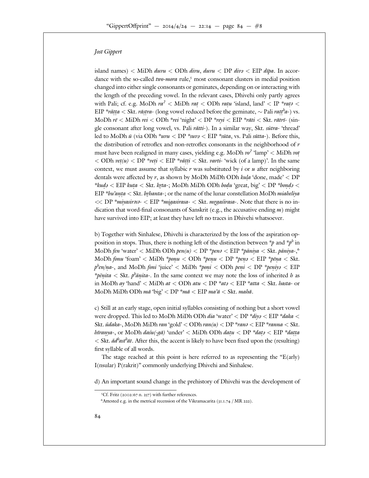island names)  $<$  MiDh *duvu*  $<$  ODh *divu*, *duvu*  $<$  DP *diva*  $<$  EIP *dipa*. In accordance with the so-called two-mora rule, most consonant clusters in medial position changed into either single consonants or geminates, depending on or interacting with the length of the preceding vowel. In the relevant cases, Dhivehi only partly agrees with Pali; cf. e.g. MoDh  $ra^2$  < MiDh  $rat$  < ODh  $ratu$  'island, land' < IP \* $rat^3$  < EIP \*rătța < Skt. rāstra- (long vowel reduced before the geminate,  $\sim$  Pali ratt<sup>h</sup>a-) vs. MoDh  $r\bar{\epsilon}$  < MiDh  $rei$  < ODh \*rei 'night' < DP \*reyi < EIP \*rāti < Skt. rātrī- (single consonant after long vowel, vs. Pali  $r$ ätti-). In a similar way, Skt.  $s$ ūtra- 'thread' led to MoDh  $\bar{u}$  (via ODh \*uvu < DP \*suva < EIP \*suta, vs. Pali sutta-). Before this, the distribution of retroflex and non-retroflex consonants in the neighborhood of  $r$ must have been realigned in many cases, yielding e.g. MoDh  $vo^2$  'lamp' < MiDh  $vo^t$ < ODh  $\textit{vet}(u)$  < DP \*veti < EIP \*vatti < Skt. varti- 'wick (of a lamp)'. In the same context, we must assume that syllabic  $r$  was substituted by  $i$  or  $u$  after neighboring dentals were a ected by r, as shown by MoDh MiDh ODh kula 'done, made' < DP \*kudə < EIP kuta < Skt. kr̥ta-; MoDh MiDh ODh bodu 'great, big' < DP \*bond़> < EIP \*bu'anta < Skt. byhanta-; or the name of the lunar constellation MoDh miaheliya << DP \*miyasirasa- < EIP \*migasirasa- < Skt. mrgasirasa-. Note that there is no indication that word-final consonants of Sanskrit (e.g., the accusative ending  $m$ ) might have survived into EIP; at least they have left no traces in Dhivehi whatsoever.

b) Together with Sinhalese, Dhivehi is characterized by the loss of the aspiration opposition in stops. Thus, there is nothing left of the distinction between  $\ast p$  and  $\ast p^b$  in MoDh fen 'water'  $<$  MiDh ODh pen(u)  $<$  DP \*pens  $<$  EIP \*pāniya  $<$  Skt. pāniya-, MoDh fonu 'foam'  $<$  MiDh  $*{ponu <$  ODh  $*{penu <}$  DP  $*{penz <}$  EIP  $*{pēna <}$  Skt.  $p^{\textit{b}}$ en/na-, and MoDh foni 'juice'  $<$  MiDh \*poni  $<$  ODh peni  $<$  DP \*peniya  $<$  EIP \**pēnita* < Skt.  $p^h$ *ānita*-. In the same context we may note the loss of inherited h as in MoDh ay 'hand'  $<$  MiDh at  $<$  ODh atu  $<$  DP  $*$ at $s$   $<$  EIP  $*$ atta  $<$  Skt. hasta- or MoDh MiDh ODh  $m\bar{a}$  'big'  $<$  DP  $*m\bar{a}$   $<$  EIP  $m\alpha'\bar{a}$   $<$  Skt. mah $\bar{a}$ .

c) Still at an early stage, open initial syllables consisting of nothing but a short vowel were dropped. This led to MoDh MiDh ODh *dia* 'water' < DP \**diya* < EIP \**daka* < Skt. ŭdaka-, M0Dh MiDh ran 'gold'  $<$  ODh ran $(u)$   $<$  DP  $*$ ran $s$   $<$  EIP  $*$ ranna  $<$  Skt. hŭranya-, or MoDh daśu(-gā) 'under' < MiDh ODh datu < DP \*dats < EIP \*datta  $<$  Skt.  $\check{a}d^{b}$ ast<sup>h</sup>āt. After this, the accent is likely to have been fixed upon the (resulting) first syllable of all words.

The stage reached at this point is here referred to as representing the "E(arly) I(nsular) P(rakrit)" commonly underlying Dhivehi and Sinhalese.

d) An important sound change in the prehistory of Dhivehi was the development of

Cf. Fritz ( $\cdots$  n. ) with further references.

Attested e.g. in the metrical recension of the Vikramacarita  $(3.1.74 \times 10^{12})$ .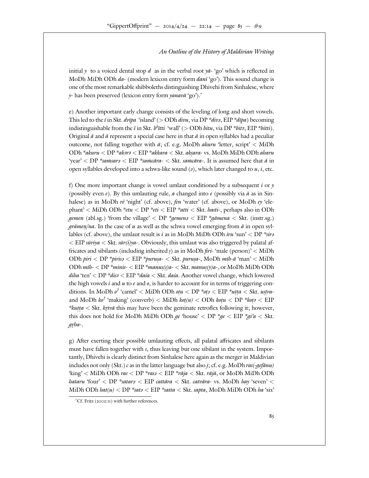initial y to a voiced dental stop d as in the verbal root  $y\bar{a}$ - 'go' which is reflected in MoDh MiDh ODh  $da$ - (modern lexicon entry form  $dan\bar{t}$  'go'). This sound change is one of the most remarkable shibboleths distinguishing Dhivehi from Sinhalese, where  $y$ - has been preserved (lexicon entry form yanava 'go').

e) Another important early change consists of the leveling of long and short vowels. This led to the  $\bar{i}$  in Skt. *dvīpa* 'island' (> ODh *divu*, via DP \**diva*, EIP \**dīpa*) becoming indistinguishable from the  $\check{\iota}$  in Skt.  $b^b$ itti 'wall' (> ODh bitu, via DP \*bits, EIP \*bitti). Original  $\check{a}$  and  $\bar{a}$  represent a special case here in that  $\check{a}$  in open syllables had a peculiar outcome, not falling together with  $\bar{a}$ ; cf. e.g. MoDh *akuru* 'letter, script' < MiDh  $\mathrm{ODh}$  \*akuru  $<$   $\mathrm{DP}$  \*ak $\mathit{m}$ 3  $<$   $\mathrm{EIP}$  \*akkara  $<$  Skt. aksara- vs. M $\mathrm{ODh}$  Mi $\mathrm{Db}$   $\mathrm{ODh}$  aharu 'year' < DP \*samsars < EIP \*samcāra- < Skt. samcāra-. It is assumed here that ă in open syllables developed into a schwa-like sound  $(a)$ , which later changed to  $u, i$ , etc.

f) One more important change is vowel umlaut conditioned by a subsequent  $i$  or  $\gamma$ (possibly even  $e$ ). By this umlauting rule, a changed into e (possibly via  $\ddot{a}$  as in Sinhalese) as in MoDh  $r\bar{e}$  'night' (cf. above),  $\ell\bar{e}$  'water' (cf. above), or MoDh  $e$ y 'elephant'  $\langle$  MiDh ODh \*etu  $\langle$  DP \*eti  $\langle$  EIP \*atti  $\langle$  Skt. hasti-, perhaps also in ODh gemen (abl.sg.) 'from the village' < DP \*gemens < EIP \*gamena < Skt. (instr.sg.) *grāmen/na*. In the case of  $u$  as well as the schwa vowel emerging from  $\check{a}$  in open syllables (cf. above), the umlaut result is i as in MoDh MiDh ODh iru 'sun' < DP \*sirs  $\langle$  EIP sūriya  $\langle$  Skt. sūr(i)ya-. Obviously, this umlaut was also triggered by palatal affricates and sibilants (including inherited *s*) as in MoDh *firi*- 'male (person)' < MiDh ODh piri  $<$  DP \*piris $s$   $<$  EIP \*purus $a$ -  $<$  Skt. purus $a$ -, MoDh mīb-ā `man`  $<$  MiDh ODh mīb-  $<$  DP \*minis-  $<$  EIP \*manus(s)a-  $<$  Skt. manus(y)a-, or MoDh MiDh ODh diha 'ten' < DP \*disa < EIP \*dasa < Skt. dasa. Another vowel change, which lowered the high vowels  $i$  and  $u$  to  $e$  and  $o$ , is harder to account for in terms of triggering conditions. In MoDh  $o^2$  'camel' < MiDh ODh  $\mathit{otu}$  < DP  $* \mathit{otz}$  < EIP  $* \mathit{utta}$  < Skt.  $\mathit{ustra}$ and MoDh  $ko^2$  'making' (converb)  $\langle$  MiDh  $kot(u) \langle$  ODh  $kotu \langle$  DP \* $kotz \langle$  EIP \*kutta < Skt. krtvā this may have been the geminate retroflex following it; however, this does not hold for MoDh MiDh ODh  $ge'$  < DP  $\forall ge \le EIP \forall gi'a \le Skt$ . grha-.

g) After exerting their possible umlauting e ects, all palatal a ricates and sibilants must have fallen together with s, thus leaving but one sibilant in the system. Importantly, Dhivehi is clearly distinct from Sinhalese here again as the merger in Maldivian includes not only (Skt.)  $c$  as in the latter language but also *j*; cf. e.g. MoDh  $ras(\text{-}geffanu)$ 'king' < MiDh ODh *ras* < DP \**rasa* < EIP \**rāja < Skt. rājā*, or MoDh MiDh ODh hataru 'four'  $<$  DP \*satars  $<$  EIP cattāra  $<$  Skt. catvāra- vs. MoDh hay 'seven'  $<$ MiDh ODh hat $(u) <$  DP \*sat $v <$  EIP \*satta  $<$  Skt. sapta, MoDh MiDh ODh ha 'six'

Cf. Fritz ( $\cdots$ ) with further references.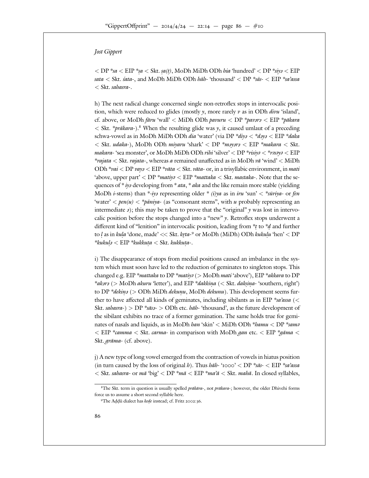$<$  DP  $*_{s\alpha}$   $<$  EIP  $*_{s\alpha}$   $<$  Skt.  $s\alpha(t)$ , MoDh MiDh ODh hia 'hundred'  $<$  DP  $*_{s\alpha}$   $<$  EIP sata  $<$  Skt. s'ata-, and MoDh MiDh ODh *hāh*- 'thousand'  $<$  DP \*sās-  $<$  EIP \*sa'assa < Skt. sahasra-.

h) The next radical change concerned single non-retroflex stops in intervocalic position, which were reduced to glides (mostly  $y$ , more rarely  $v$  as in ODh *divu* 'island', cf. above, or MoDh fāru 'wall' < MiDh ODh pavuru < DP \*pav*ara* < EIP \*pākara  $<$  Skt. \**prākara*-). When the resulting glide was  $\gamma$ , it caused umlaut of a preceding schwa-vowel as in MoDh MiDh ODh *dia* 'water' (via DP \**diya < \*daya < EIP \*daka*  $<$  Skt. udaka-), MoDh ODh miyaru 'shark'  $<$  DP  $*$ mayara  $<$  EIP  $*$ makara  $<$  Skt. makara- 'sea monster', or MoDh MiDh ODh *rihi* 'silver'  $<$  DP \**risiya*  $<$  *\*rasaya*  $<$  EIP \*rajata  $\lt$  Skt. rajata-, whereas a remained una ected as in MoDh va^t 'wind'  $\lt$  MiDh ODh \*vai < DP vaya < EIP \*vāta < Skt. vāta- or, in a trisyllabic environment, in mati 'above, upper part' < DP \*matiya < EIP \*mattaka < Skt. mastaka-. Note that the sequences of \* *iya* developing from \* *ata*, \* *aka* and the like remain more stable (yielding MoDh *i*-stems) than \*-iya representing older \* (i)ya as in iru 'sun' < \*sūriya- or fen 'water'  $\langle pen(u) \langle \phi u \rangle$  (as "consonant stems", with u probably representing an intermediate  $\vartheta$ ); this may be taken to prove that the "original"  $\vartheta$  was lost in intervocalic position before the stops changed into a "new" y. Retroflex stops underwent a di  $\,$  erent kind of "lenition" in intervocalic position, leading from  $*$ t $\,$  to  $*$  $\!d$  and further to l as in kula 'done, made' << Skt. kr̥ta- or MoDh (MiDh) ODh kukulu 'hen' < DP  $*kukulz < EIP *kukkuta < Skt. kukkuta$ .

i) The disappearance of stops from medial positions caused an imbalance in the system which must soon have led to the reduction of geminates to singleton stops. This changed e.g. EIP \**mattaka* to DP \**matiya* (> MoDh *mati* 'above'), EIP \**akkara* to DP \*aksrs (> MoDh akuru 'letter'), and EIP \*dakkina (< Skt. daksina- 'southern, right') to DP \*dekina (> ODh MiDh dekunu, MoDh dekunu). This development seems further to have a ected all kinds of geminates, including sibilants as in EIP  $*sa'assa \ll 1$ Skt. sahasra-) > DP \*sāsa- > ODh etc. hāh- 'thousand', as the future development of the sibilant exhibits no trace of a former gemination. The same holds true for geminates of nasals and liquids, as in MoDh han 'skin'  $\lt$  MiDh ODh \*hamu  $\lt$  DP \*sams  $\epsilon$  EIP \*camma  $\epsilon$  Skt. carma- in comparison with MoDh gan etc.  $\epsilon$  EIP \*gāma  $\epsilon$ Skt. grāma- (cf. above).

j) A new type of long vowel emerged from the contraction of vowels in hiatus position (in turn caused by the loss of original h). Thus hah- '  $\rightarrow$  < DP \*sas- < EIP \*sa'assa  $<$  Skt. sahasra- or mā 'big'  $<$  DP \*mā  $<$  EIP \*ma'ā  $<$  Skt. mahā. In closed syllables,

The Skt. term in question is usually spelled *prākāra*-, not *prākara*-; however, the older Dhivehi forms force us to assume a short second syllable here.

The Addū dialect has kede instead; cf. Fritz : .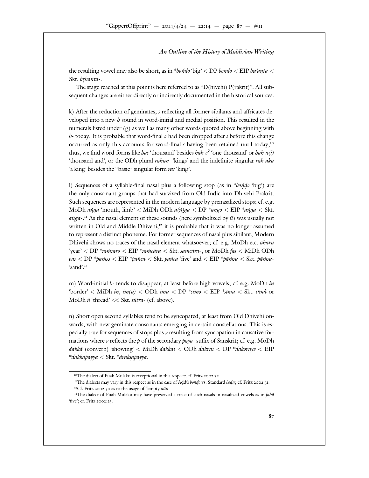the resulting vowel may also be short, as in *\*bonda* 'big' < DP *bonda* < EIP *bu'anta* < Skt. brhanta-.

The stage reached at this point is here referred to as "D(hivehi) P(rakrit)". All subsequent changes are either directly or indirectly documented in the historical sources.

k) After the reduction of geminates, s reflecting all former sibilants and a ricates developed into a new  $h$  sound in word-initial and medial position. This resulted in the numerals listed under (g) as well as many other words quoted above beginning with *h*-today. It is probable that word-final *a* had been dropped after *s* before this change occurred as only this accounts for word-final s having been retained until today; thus, we find word-forms like *hās* 'thousand' besides *hāh-e<sup>2</sup>* 'one-thousand' or *hāh-ā(i)* 'thousand and', or the ODh plural *rahun*-'kings' and the indefinite singular *rah-aku* 'a king' besides the "basic" singular form ras 'king'.

l) Sequences of a syllable-final nasal plus a following stop (as in *\*boňda* 'big') are the only consonant groups that had survived from Old Indic into Dhivehi Prakrit. Such sequences are represented in the modern language by prenasalized stops; cf. e.g. MoDh aňga 'mouth,  $\text{limb}' < \text{MiDh ODh } \text{a}(\check{n})$ ga  $< \text{DP *} \text{a} \check{n} \text{g} \text{a} < \text{EIP *} \text{a} \check{n} \text{g} \text{a} < \text{Skt}$ .  $a\nu q$ a-. As the nasal element of these sounds (here symbolized by  $n$ ) was usually not written in Old and Middle Dhivehi, it is probable that it was no longer assumed to represent a distinct phoneme. For former sequences of nasal plus sibilant, Modern Dhivehi shows no traces of the nasal element whatsoever; cf. e.g. MoDh etc. aharu 'year' < DP \*samsarə < EIP \*samcāra < Skt. samcāra-, or MoDh fas < MiDh ODh pas  $<$  DP \*pa $n$ ss  $<$  EIP \*pañca  $<$  Skt. pañca 'five' and  $<$  EIP \*pā $n$ su  $<$  Skt. pā $n$ su- $'s$ and'.

m) Word-initial  $h$ - tends to disappear, at least before high vowels; cf. e.g. MoDh in "border' < MiDh  $in, im(u) <$  ODh  $imu <$  DP  $*sim$ 3 < EIP  $*sim$ a < Skt.  $sim$ ā or MoDh  $\bar{u}$  'thread' << Skt.  $s\bar{u}$ tra- (cf. above).

n) Short open second syllables tend to be syncopated, at least from Old Dhivehi onwards, with new geminate consonants emerging in certain constellations. This is especially true for sequences of stops plus v resulting from syncopation in causative formations where  $\nu$  reflects the  $\rho$  of the secondary paya- su x of Sanskrit; cf. e.g. MoDh  $d$ akkā (converb) 'showing'  $<$  MiDh dakkai  $<$  ODh dakvai  $<$  DP  $*$ daksvays  $<$  EIP  $*d$ akkapayya  $<$  Skt.  $*d$ raksapayya.

The dialects may vary in this respect as in the case of Addū bondo vs. Standard bodu; cf. Fritz  $\qquad$ Cf. Fritz  $\therefore$  as to the usage of "empty  $n\bar{u}n$ ".

The dialect of Fuah Mulaku is exceptional in this respect; cf. Fritz : .

The dialect of Fuah Mulaku may have preserved a trace of such nasals in nasalized vowels as in fahã 'five'; cf. Fritz : .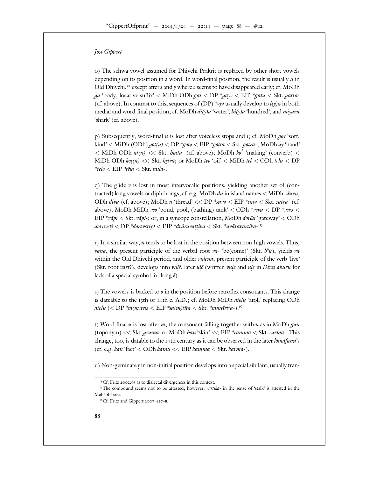o) The schwa-vowel assumed for Dhivehi Prakrit is replaced by other short vowels depending on its position in a word. In word-final position, the result is usually  $u$  in Old Dhivehi, except after s and y where  $\sigma$  seems to have disappeared early; cf. MoDh gā 'body; locative su x' < MiDh ODh gai < DP \*gayə < EIP \*gāta < Skt. gātra-(cf. above). In contrast to this, sequences of (DP) \**aya* usually develop to  $i(y)a$  in both medial and word-final position; cf. MoDh  $di(y)a$  'water',  $hi(y)a$  'hundred', and miyaru 'shark' (cf. above).

p) Subsequently, word-final  $u$  is lost after voiceless stops and  $l$ ; cf. MoDh  $goy$  'sort, kind'  $<$  MiDh (ODh)  $\text{got}(u) <$  DP \* $\text{gots} <$  EIP \* $\text{götta} <$  Skt.  $\text{gotra-}$ ; MoDh  $\text{ay}$  'hand'  $<$  MiDh ODh  $at(u)$   $<<$  Skt. hasta- (cf. above); MoDh  $ko<sup>2</sup>$  'making' (converb)  $<$ MiDh ODh kot $(u) \ll$  Skt. kr $t v \bar{a}$ ; or MoDh teo 'oil'  $<$  MiDh tel  $<$  ODh tel $u <$  DP  $*tel_3 < EIP *tēla < Skt. taila-.$ 

q) The glide  $\nu$  is lost in most intervocalic positions, yielding another set of (contracted) long vowels or diphthongs; cf. e.g. MoDh  $d\bar{u}$  in island names  $\langle$  MiDh - $duvu$ , ODh divu (cf. above); MoDh  $\bar{u}$  'thread' << DP \*suva < EIP \*suta < Skt. sutra- (cf. above); MoDh MiDh veo 'pond, pool, (bathing) tank' < ODh \*vevu < DP \*vevu < EIP \*vapi  $\langle$  Skt. vapi  $\bar{z}$  or, in a syncope constellation, MoDh *dorosi* 'gateway'  $\langle$  ODh doruveti  $<$  DP \*dorsvetiys  $<$  EIP \*dvāravattika  $<$  Skt. \*dvāravartika-.

r) In a similar way,  $n$  tends to be lost in the position between non-high vowels. Thus, vana, the present participle of the verbal root va- 'be(come)' (Skt.  $b^h \bar{u}$ ), yields va within the Old Dhivehi period, and older *vulena*, present participle of the verb 'live' (Skt. root *vart*?), develops into *vulē*, later *ulē* (written *vule* and *ule* in *Dives akuru* for lack of a special symbol for long  $\bar{e}$ ).

s) The vowel  $e$  is backed to  $\theta$  in the position before retroflex consonants. This change is dateable to the th or th c. A.D.; cf. MoDh MiDh *atolu* 'atoll' replacing ODh atelu  $(<$  DP \*sa $(m)$ tel $\in$  EIP \*sa $(m)$ tīta  $<$  Skt. \*samtīrt $^{\hbar}a$ -).

t) Word-final  $u$  is lost after  $m$ , the consonant falling together with  $n$  as in MoDh gan (toponym)  $<<$  Skt. *grāma*- or MoDh *han* 'skin'  $<<$  EIP \**camma*  $<$  Skt. *carma*-. This change, too, is datable to the the century as it can be observed in the later *lomafanu's* (cf. e.g. kan 'fact'  $<$  ODh kamu  $<<$  EIP kamma  $<$  Skt. karma-).

u) Non-geminate  $t$  in non-initial position develops into a special sibilant, usually tran-

Cf. Fritz : as to dialectal divergences in this context.

The compound seems not to be attested; however, *vartika*- in the sense of 'stalk' is attested in the Mahābhārata.

Cf. Fritz and Gippert :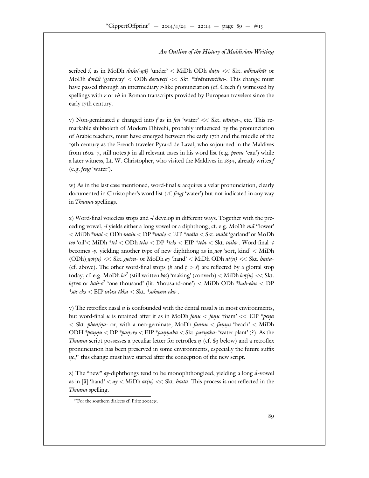scribed *s*, as in MoDh *dasu(-gā*) 'under' < MiDh ODh *dațu* << Skt. *adhasthāt* or MoDh *dorōsi* 'gateway' < ODh *doruveți* << Skt. \**dvāravartika*-. This change must have passed through an intermediary r-like pronunciation (cf. Czech  $\dot{r}$ ) witnessed by spellings with  $r$  or  $rb$  in Roman transcripts provided by European travelers since the early th century.

v) Non-geminated p changed into f as in fen 'water'  $\ll$  Skt. pāniya-, etc. This remarkable shibboleth of Modern Dhivehi, probably influenced by the pronunciation of Arabic teachers, must have emerged between the early the and the middle of the

19th century as the French traveler Pyrard de Laval, who sojourned in the Maldives from  $-$ , still notes p in all relevant cases in his word list (e.g. *penne* 'eau') while a later witness, Lt. W. Christopher, who visited the Maldives in  $\,$ , already writes f (e.g. feng 'water').

w) As in the last case mentioned, word-final  $n$  acquires a velar pronunciation, clearly documented in Christopher's word list (cf. *feng* 'water') but not indicated in any way in Thaana spellings.

x) Word-final voiceless stops and -l develop in di erent ways. Together with the preceding vowel,  $-l$  yields either a long vowel or a diphthong; cf. e.g. MoDh  $m\bar{a}$  'flower'  $<$  MiDh  $*$ mal  $<$  ODh malu  $<$  DP  $*$ mal $\iota$   $<$  EIP  $*$ māla  $<$  Skt. mālā  $`$ garland' or MoDh teo 'oil' $<$  MiDh \*tel  $<$  ODh telu  $<$  DP \*tel $s<$  EIP \*tēla  $<$  Skt. taila-. Word-final -t becomes  $-\gamma$ , yielding another type of new diphthong as in goy 'sort, kind'  $\lt MIDh$ (ODh)  $\eta \circ t(u) \ll S$ kt.  $\eta \circ t \circ a$ - or MoDh  $\alpha y$  'hand'  $\lt M$ iDh ODh  $\alpha t(u) \ll S$ kt.  $\alpha t$ asta-(cf. above). The other word-final stops (k and  $t > s$ ) are reflected by a glottal stop today; cf. e.g. MoDh  $ko^2$  (still written  $ko\hat{s}$ ) 'making' (converb)  $\langle$  MiDh  $kot(u) \langle \langle$  Skt. krtvā or hāh-e<sup>?</sup> 'one thousand' (lit. 'thousand-one') < MiDh ODh \*hāh-eku < DP  $*$ sās-ek $s <$   $\rm EIP$  sa'ass-ěkka  $<$   $\rm Skt.$   $*$ sahasra-eka-.

y) The retroflex nasal  $n$  is confounded with the dental nasal  $n$  in most environments, but word-final *u* is retained after it as in MoDh *fonu* < fonu 'foam' << EIP \* pend  $<$  Skt. phen/na- or, with a neo-geminate, MoDh fannu  $<$  fannu 'beach'  $<$  MiDh ODH \*pannu  $<$  DP \*pansvs  $<$  EIP \*pannaka  $<$  Skt. parnaka- 'water plant' (?). As the *Thaana* script possesses a peculiar letter for retroflex  $n$  (cf.  $\oint$  below) and a retroflex pronunciation has been preserved in some environments, especially the future su x ne, this change must have started after the conception of the new script.

z) The "new" ay-diphthongs tend to be monophthongized, yielding a long  $\ddot{a}$ -vowel as in [ $\ddot{a}$ ] 'hand' < ay < MiDh at(u) << Skt. hasta. This process is not reflected in the Thaana spelling.

For the southern dialects cf. Fritz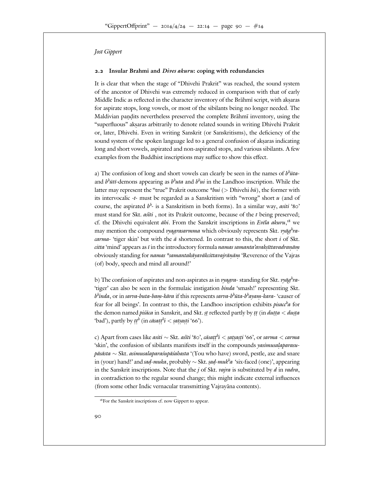#### **. Insular Brahmi and** *Dives akuru***: coping with redundancies**

It is clear that when the stage of "Dhivehi Prakrit" was reached, the sound system of the ancestor of Dhivehi was extremely reduced in comparison with that of early Middle Indic as reflected in the character inventory of the Brāhmī script, with akṣaras for aspirate stops, long vowels, or most of the sibilants being no longer needed. The Maldivian pandits nevertheless preserved the complete Brāhmī inventory, using the "superfluous" akṣaras arbitrarily to denote related sounds in writing Dhivehi Prakrit or, later, Dhivehi. Even in writing Sanskrit (or Sanskritisms), the deficiency of the sound system of the spoken language led to a general confusion of akṣaras indicating long and short vowels, aspirated and non-aspirated stops, and various sibilants. A few examples from the Buddhist inscriptions may su ce to show this e ect.

a) The confusion of long and short vowels can clearly be seen in the names of  $b^b$ *ūta*and  $b^h$ ūtī-demons appearing as  $b^h$ uta and  $b^h$ ui in the Landhoo inscription. While the latter may represent the "true" Prakrit outcome  $*bui$  (> Dhivehi  $b\bar{u}$ ), the former with its intervocalic -t- must be regarded as a Sanskritism with "wrong" short  $u$  (and of course, the aspirated  $b^h$ - is a Sanskritism in both forms). In a similar way, asiti ' must stand for Skt.  $a$ <sup>s</sup> $\ddot{i}t$  , not its Prakrit outcome, because of the t being preserved; cf. the Dhivehi equivalent āhi. From the Sanskrit inscriptions in Evela akuru, we may mention the compound *vyagrasarmma* which obviously represents Skt. *vyāg<sup>h</sup>racarma*- 'tiger skin' but with the  $\bar{a}$  shortened. In contrast to this, the short  $i$  of Skt. citta 'mind' appears as  $\bar{\imath}$  in the introductory formula *namas samanta'avaksīttavadranām* obviously standing for *namas \*samantakāyavākcittavajrānām '*Reverence of the Vajras (of) body, speech and mind all around!'

b) The confusion of aspirates and non-aspirates as in vyagra- standing for Skt. vyāg<sup>b</sup>ra-'tiger' can also be seen in the formulaic instigation *binda* 'smash!' representing Skt. b<sup>h</sup>inda, or in sarva-buta-bam-kāra if this represents sarva-b<sup>h</sup>ūta-b<sup>h</sup>ayam-kara- 'causer of fear for all beings'. In contrast to this, the Landhoo inscription exhibits *pisace<sup>h</sup>a* for the demon named *piśāca* in Sanskrit, and Skt. st reflected partly by tt (in *dutta < dusta* 'bad'), partly by  $tt^b$  (in cāsat $t^b$ i < satsasti ').

c) Apart from cases like *asiti* ∼ Skt. *ast̃ti' `, cāsaṭtʰi < satsaṣti' `*, or *sarma < carma* 'skin', the confusion of sibilants manifests itself in the compounds *yasimusalaparasu*pāsāsta ∼ Skt. asimusalaparaśupāśahasta '(You who have) sword, pestle, axe and snare in (your) hand!' and *sad-muka*, probably ∼ Skt. *sad-muk<sup>h</sup>a* 'six-faced (one)', appearing in the Sanskrit inscriptions. Note that the  $j$  of Skt. vajra is substituted by  $d$  in vadra, in contradiction to the regular sound change; this might indicate external influences (from some other Indic vernacular transmitting Vajrayana contents).

For the Sanskrit inscriptions cf. now Gippert to appear.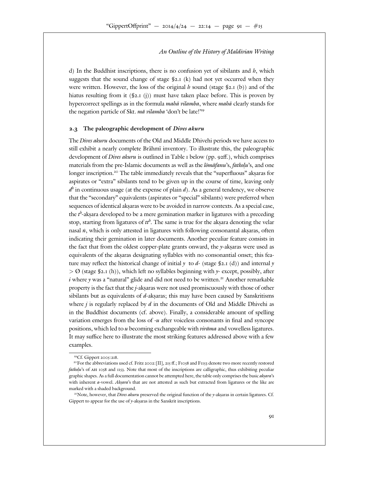d) In the Buddhist inscriptions, there is no confusion yet of sibilants and  $h$ , which suggests that the sound change of stage  $\hat{S}$ . (k) had not yet occurred when they were written. However, the loss of the original h sound (stage  $\oint$  . (b)) and of the hiatus resulting from it  $(\S$ . (j)) must have taken place before. This is proven by hypercorrect spellings as in the formula *maha* vilamba, where maha clearly stands for the negation particle of Skt. ma vilamba 'don't be late!'

#### **. The paleographic development of** *Dives akuru*

The *Dives akuru* documents of the Old and Middle Dhivehi periods we have access to still exhibit a nearly complete Brāhmī inventory. To illustrate this, the paleographic development of *Dives akuru* is outlined in Table below (pp.  $\ldots$ ), which comprises materials from the pre-Islamic documents as well as the  $l\bar{\omega}$   $m\bar{\omega}$  and  $\bar{\omega}$ , fatkolu's, and one longer inscription. The table immediately reveals that the "superfluous" aksaras for aspirates or "extra" sibilants tend to be given up in the course of time, leaving only  $d^h$  in continuous usage (at the expense of plain  $d$ ). As a general tendency, we observe that the "secondary" equivalents (aspirates or "special" sibilants) were preferred when sequences of identical akṣaras were to be avoided in narrow contexts. As a special case, the  $t^b$ -akṣara developed to be a mere gemination marker in ligatures with a preceding stop, starting from ligatures of  $tt^b$ . The same is true for the aksara denoting the velar nasal  $\dot{n}$ , which is only attested in ligatures with following consonantal akṣaras, often indicating their gemination in later documents. Another peculiar feature consists in the fact that from the oldest copper-plate grants onward, the  $y$ -akṣaras were used as equivalents of the akṣaras designating syllables with no consonantial onset; this feature may reflect the historical change of initial y to d- (stage § . (d)) and internal y  $>$  Ø (stage § . (h)), which left no syllables beginning with y- except, possibly, after i where  $\gamma$  was a "natural" glide and did not need to be written. Another remarkable property is the fact that the *j*-akṣaras were not used promiscuously with those of other sibilants but as equivalents of  $d$ -akṣaras; this may have been caused by Sanskritisms where j is regularly replaced by  $d$  in the documents of Old and Middle Dhivehi as in the Buddhist documents (cf. above). Finally, a considerable amount of spelling variation emerges from the loss of  $-u$  after voiceless consonants in final and syncope positions, which led to  $u$  becoming exchangeable with  $virāma$  and vowelless ligatures. It may su ce here to illustrate the most striking features addressed above with a few examples.

Cf. Gippert

For the abbreviations used cf. Fritz  $\colon$  [II],  $\colon$   $\colon$  F and F denote two more recently restored fatkolu's of and Note that most of the inscriptions are calligraphic, thus exhibiting peculiar graphic shapes. As a full documentation cannot be attempted here, the table only comprises the basic *aksara*'s with inherent *a*-vowel. Aksara's that are not attested as such but extracted from ligatures or the like are marked with a shaded background.

Note, however, that Dives akuru preserved the original function of the y-aksaras in certain ligatures. Cf. Gippert to appear for the use of  $y$ -aksaras in the Sanskrit inscriptions.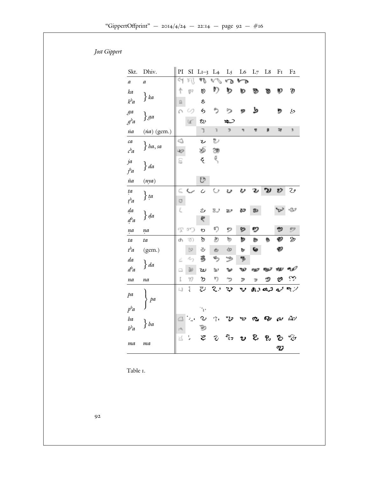| Skt.               | Dhiv.         | PI                                  | SI                                        | $L -$                       | L                             | L                           | L  | L      | L       | F     | F                           |
|--------------------|---------------|-------------------------------------|-------------------------------------------|-----------------------------|-------------------------------|-----------------------------|----|--------|---------|-------|-----------------------------|
| $\alpha$           | $\alpha$      | देन्                                | ¥ή                                        | 48                          | $\eta_{\vec{q}}$ .<br>ri<br>C | $\mathbf{v}^{\prime\prime}$ | ↜  |        |         |       |                             |
| ka                 |               | φ                                   | $\mathbb{S}^2$                            | Ø)                          | D)                            | চ                           | O  | B)     | ъ       | Đ     | Ð                           |
| $k$ <sup>h</sup> a | $\}$ ka       | ß                                   |                                           | లి                          |                               |                             |    |        |         |       |                             |
| ga                 |               | $\mathcal{E}^{\mathbf{r}_i}$        | 69                                        | ら                           | ٥,                            | 69                          | 92 | ط      |         | 虳     | Ь                           |
| $g^b a$            | $\}$ ga       |                                     | $\mathbf{G}^{\mathbf{C}}$                 | ల్మ                         |                               | ∠                           |    |        |         |       |                             |
| na                 | $(na)$ (gem.) |                                     |                                           | ŋ.                          | $\overline{\mathfrak{g}}$     | $\overline{\mathfrak{p}}_1$ | 围  | q,     | 道       | 28    | $\tilde{\mathbf{y}}_i$      |
| ca                 |               | c)                                  |                                           | رح                          | ల్                            |                             |    |        |         |       |                             |
| $c^b a$            | $\}$ ha, sa   | 42                                  |                                           | r6                          | 德                             |                             |    |        |         |       |                             |
| ja                 |               | ε                                   |                                           | द्                          | ą,                            |                             |    |        |         |       |                             |
| $j^h a$            | $\}$ da       |                                     |                                           |                             |                               |                             |    |        |         |       |                             |
| $\tilde{n}a$       | (nya)         |                                     |                                           | e                           |                               |                             |    |        |         |       |                             |
| $t\alpha$          |               | C                                   | $\mathcal{L}_{\mathcal{L}^{\mathcal{L}}}$ | $\overline{c}$              | Cэ                            | υ                           | v  | 2,     |         | 22    | Z,                          |
| $t^h a$            | $\}$ ta       | $\circledcirc$                      |                                           |                             |                               |                             |    |        |         |       |                             |
| da                 |               | Ë,                                  |                                           | ھ2                          | 2.2                           | 28.25                       | 8P | 20     |         | ترويه | $Q_{\rm s}$                 |
| $d^{\mathit{h}}a$  | $\}$ da       |                                     |                                           | や                           |                               |                             |    |        |         |       |                             |
| ņa                 | na            | P                                   | 65                                        | ల                           | ¢)                            | 92                          | O  | ෩      |         | 49    | $\mathbb{R} \mathcal{D}$    |
| ta                 | $t\alpha$     | d.                                  | $\mathfrak{D}$                            | ୭                           | Ò)                            | ty.                         | Þ  | b.     | ۵       | ₩     | $\mathcal{D}$               |
| $t^b a$            | (gem.)        |                                     | $\frac{1}{2}$                             | Z                           | Ò                             | œ                           | b. | G.     |         | ☜     |                             |
| da                 |               | ċ.                                  | Ary                                       | z,                          | ÷,                            | په                          | 惨  |        |         |       |                             |
| $d^b a$            | $\}$ da       | ۵                                   | do.                                       | رە٢                         | a.                            | الوالا                      | w  | awa Si |         | rie-  | حمه                         |
| na                 | na            | ĵ,                                  | 77                                        | $\mathfrak{D}$              | ŋ                             | 72                          | Þ. | TX.    |         | رے    | $\mathcal{C}$               |
|                    |               | $\left\langle \ldots \right\rangle$ | t.                                        | $\mathcal{L}_{\mathcal{A}}$ | $\mathcal{R}$ .               | $\overline{\phantom{a}}$    | v  |        | تره دره | فرح   | $\mathbf{e}_t$ , $\epsilon$ |
| pa                 | pa            |                                     |                                           |                             |                               |                             |    |        |         |       |                             |
| $p^b a$            |               |                                     |                                           | ٠.                          |                               |                             |    |        |         |       |                             |
| ba                 |               | Ő                                   | $\mathcal{L}_{\mathcal{A}}$               | ر 7                         | $\mathcal{O}_{\mathcal{A}}$   | כנד                         | כד | ሚ      | 62,     | الله  | A.                          |
| $b^b a$            | $\}$ ba       | $\mathcal{C}^{\frac{1}{2}}h$        |                                           |                             |                               |                             |    |        |         |       |                             |
|                    |               | $\geq$                              | Ļ                                         | Ź                           | $\mathcal{L}$                 | $\Gamma_{\rm 1,2}$          | ንጋ | Ľ,     | Р.,     | 2     | n.                          |
| ma                 | ma            |                                     |                                           |                             |                               |                             |    |        |         | ሚን    |                             |

Table .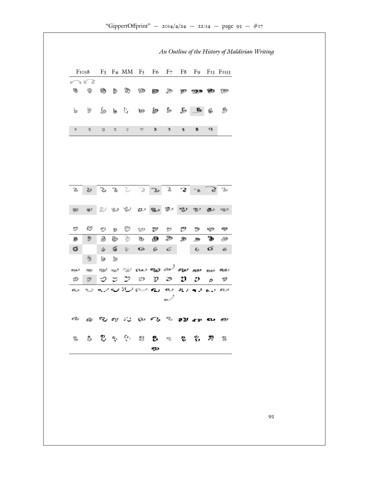| ಲ್ ಕೆ<br>Ø.<br>۰<br>O)<br>Ø)<br>Þ<br>W<br>299<br>gэ<br>Ð<br>90 B<br>w<br>. ત હ<br>y<br>$\mathbf{f}_0$<br>L.<br>Ď<br>G,<br>Ŀ,<br>b<br>w<br>6<br>$\mathbb{R}$<br>$\mathcal{D}$<br>$\mathbf{3}$<br>$\mathcal{L}^{\infty}_{\mathcal{M}}$<br>$\mathfrak{D}$<br>э<br>影<br>$\eta$<br>$\gamma_{\rm L}$<br>$\mathcal{G}^{\prime}$<br>$\tilde{\mathbf{q}}_i$<br>$2\sigma$<br>J,<br>٦,<br>$\mathcal{S}^{\circ}$<br>3<br>- 73<br>-2<br>$\gamma_{\sigma}$<br>$2\epsilon$<br>$\mathcal{F}$<br>$\epsilon_{\rm c}$<br>$K^{\rm eq}$ |
|--------------------------------------------------------------------------------------------------------------------------------------------------------------------------------------------------------------------------------------------------------------------------------------------------------------------------------------------------------------------------------------------------------------------------------------------------------------------------------------------------------------------|
|                                                                                                                                                                                                                                                                                                                                                                                                                                                                                                                    |
|                                                                                                                                                                                                                                                                                                                                                                                                                                                                                                                    |
|                                                                                                                                                                                                                                                                                                                                                                                                                                                                                                                    |
|                                                                                                                                                                                                                                                                                                                                                                                                                                                                                                                    |
|                                                                                                                                                                                                                                                                                                                                                                                                                                                                                                                    |
|                                                                                                                                                                                                                                                                                                                                                                                                                                                                                                                    |
|                                                                                                                                                                                                                                                                                                                                                                                                                                                                                                                    |
|                                                                                                                                                                                                                                                                                                                                                                                                                                                                                                                    |
| 21.81<br>$\mathcal{Q}_{\mu\nu}$<br>變人<br>ag)<br>$\mathbf{Q}_{\mathbf{h},\mathbf{P}}$<br><b>MOL 31</b><br>ugus.<br>D<br>YBD.<br>$10^{2}-2$                                                                                                                                                                                                                                                                                                                                                                          |
|                                                                                                                                                                                                                                                                                                                                                                                                                                                                                                                    |
| 69<br>O<br>$\mathcal{O}$<br>$\mathcal{O}$<br>v<br>D<br>72<br>-99<br>$\mathbb{C}^{(l)}$<br>gy.<br>-92<br>ø                                                                                                                                                                                                                                                                                                                                                                                                          |
| D.<br>Ð<br>$\mathfrak{B}$<br>₿<br>⊕<br>ъ<br>Þ<br>Ø.<br>D<br>A<br>ø<br>$\mathbf{m}$                                                                                                                                                                                                                                                                                                                                                                                                                                 |
| $\mathcal{Q}$<br>G<br>ά<br>$\mathbb{Q}_2$<br>ó<br>$\mathcal{C}^{\prime}$<br>$\sigma$<br>$\tilde{\mathbf{G}}$<br>$\mathbb{C}_\ell$<br>$\mathcal{L}_\ell$                                                                                                                                                                                                                                                                                                                                                            |
| 參<br>鱼<br>丛                                                                                                                                                                                                                                                                                                                                                                                                                                                                                                        |
| ne se can vas sur var<br>$\exp l$<br>aus><br>dist.<br>100.00<br>69.O.L<br><b>SLAP</b>                                                                                                                                                                                                                                                                                                                                                                                                                              |
| $\mathcal{D}^{\text{max}}$<br>$\mathcal{O}$<br>$\mathbb{Z}^n$ .<br>IJ,<br>껹<br>D.<br>э<br>Ð<br>D<br>D.<br>$\mathcal{D}% _{T}=\mathcal{D}_{T}\!\left( a,b\right) ,\mathcal{D}_{T}=\mathcal{D}_{T}$<br>$\mathcal{L}$                                                                                                                                                                                                                                                                                                 |
| محتف دري فريد بران بعقر والانجماح بران ميلا بره<br>حساكه<br>n_3<br>m/                                                                                                                                                                                                                                                                                                                                                                                                                                              |
| ு உுவை வட <sup>ு</sup> வானை                                                                                                                                                                                                                                                                                                                                                                                                                                                                                        |
| 生态电气学 自己相 电齿沟 医                                                                                                                                                                                                                                                                                                                                                                                                                                                                                                    |
| 40.                                                                                                                                                                                                                                                                                                                                                                                                                                                                                                                |
|                                                                                                                                                                                                                                                                                                                                                                                                                                                                                                                    |
|                                                                                                                                                                                                                                                                                                                                                                                                                                                                                                                    |

"GippertO print" – // – : – page – #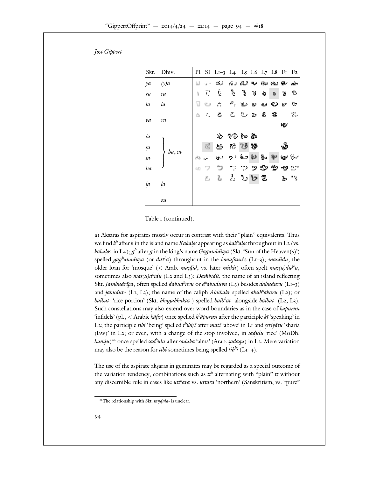|            | Skt. Dhiv. |      |      | PI SI $L - L L L L L F F$              |                                        |                       |    |     |        |                |     |
|------------|------------|------|------|----------------------------------------|----------------------------------------|-----------------------|----|-----|--------|----------------|-----|
| $\gamma a$ | (y)a       |      |      | ال ب                                   |                                        | வ் வுகை அவை க         |    |     |        |                |     |
| ra         | ra         |      | - 71 | ÷.                                     |                                        | ે ક                   | N  | ò   | 勘      | 71             | -73 |
| $l\alpha$  | la         | 1    |      | $\mathcal{R}^{\ast}$ , $\mathcal{L}$ , |                                        | $\mathcal{P}_1$ . Yes | Ľ, | Q.  | 92     | Y.             | ę.  |
|            |            |      |      | $\ddot{\textbf{c}}$                    | $\mathcal{F}_\mathrm{c}$               | $\sim 10$             | 77 | -2. | -2     |                | τt. |
| va         | va         |      |      |                                        |                                        |                       |    |     |        | ю.             |     |
| śa         |            |      |      | $\mathcal{L}_{\mathcal{A}}$            | やつねあ                                   |                       |    |     |        |                |     |
| șa         |            |      | - 18 | $E_{\rm D}$                            | 不移办                                    |                       |    |     |        | ۰ò             |     |
| sa         | ha, sa     |      | ie.  | $\langle \mathbf{S}^{(j)} \rangle$     |                                        | っしょうね                 |    | l‰. | ᢟ      | المراجع المورد |     |
| ha         |            | (11) |      |                                        | $\mathbb{D}$ . The set of $\mathbb{D}$ |                       |    |     | ပ္လာက္ | *ਾ ∵           |     |
|            |            |      | ë,   |                                        | る とうひえ                                 |                       |    |     |        |                | ٠.  |
| la         | la         |      |      |                                        |                                        |                       |    |     |        |                |     |
|            | za         |      |      |                                        |                                        |                       |    |     |        |                |     |

Table (continued).

a) Akṣaras for aspirates mostly occur in contrast with their "plain" equivalents. Thus we find  $k^b$  after k in the island name *Kakalos* appearing as kak<sup>b</sup>alos throughout in L (vs. *kakalos* in L  $\,$ );  $g^b$  after  $g$  in the king's name *Gaganāditya* (Skt. 'Sun of the Heaven(s)') spelled *gag<sup>h</sup>anādītya* (or *dītt<sup>h</sup>a*) throughout in the lōmāfanu's (L – ); masdidu, the older loan for 'mosque' (< Arab. masgid, vs. later miskit) often spelt  $mas(u)did^bu$ , sometimes also *mas(u)d<sup>h</sup>idu* (L and L); *Dambidu*, the name of an island reflecting Skt. Jambudvīpa, often spelled dabud<sup>h</sup>uvu or d<sup>h</sup>abuduvu (L) besides dabuduvu (L – ) and jabuduv-  $(L, L)$ ; the name of the caliph Abūbakr spelled abūb<sup>h</sup>akaru  $(L)$ ; or baibat- 'rice portion' (Skt. bhagabhakta-) spelled baib<sup>h</sup>at- alongside baibat- (L, L). Such constellations may also extend over word-boundaries as in the case of  $k\bar{a}purun$ 'infidels' (pl., < Arabic  $k\bar{a}$ fir) once spelled  $k^b$  *apurun* after the participle  $k\bar{i}$  'speaking' in L; the participle *tibi* 'being' spelled  $t^b$ *ibi*/*ī* after *matī* 'above' in L and *seriyātu* 'sharia (law)' in  $L$ ; or even, with a change of the stop involved, in sadulu 'rice' (MoDh. hañdū) once spelled sad<sup>h</sup>ulu after sadakā 'alms' (Arab. sadaqa) in L. Mere variation may also be the reason for *tibi* sometimes being spelled *tib<sup>h</sup>i* (L - ).

The use of the aspirate akṣaras in geminates may be regarded as a special outcome of the variation tendency, combinations such as  $t^{th}$  alternating with "plain"  $t$ t without any discernible rule in cases like *utt<sup>h</sup>ara* vs. *uttara* 'northern' (Sanskritism, vs. "pure"

The relationship with Skt. tandula- is unclear.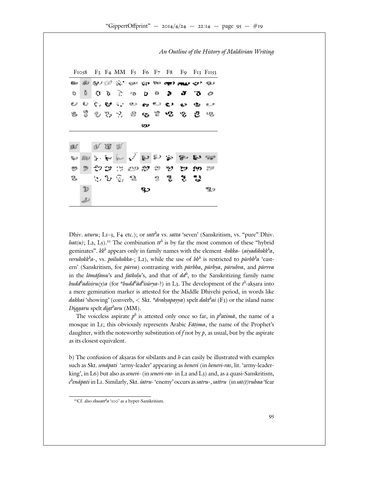

Dhiv. uturu;  $L -$ ,  $F$  etc.); or satt<sup>h</sup>a vs. satta 'seven' (Sanskritism, vs. "pure" Dhiv. hat(u); L, L). The combination  $tt^h$  is by far the most common of these "hybrid geminates". kk<sup>h</sup> appears only in family names with the element -kokka- (aiyadikokk<sup>h</sup>a, verukokk<sup>h</sup>a-, vs. poilukokka-; L), while the use of bbh is restricted to pūrbbha 'eastern' (Sanskritism, for pūrva) contrasting with pūrbba, pūrbya, pūrubva, and pūrvva in the *lōmāfanu*'s and *fatkolu*'s, and that of  $dd^b$ , to the Sanskritizing family name budd<sup>h</sup>adisiru(y)a (for \*budd<sup>h</sup>ād<sup>h</sup>isūrya-?) in L . The development of the t<sup>h</sup>-akṣara into a mere gemination marker is attested for the Middle Dhivehi period, in words like dakkai 'showing' (converb,  $<$  Skt. \*drakṣapayya) spelt daktʰai (F) or the island name Diggaru spelt digt<sup>b</sup>aru (MM).

The voiceless aspirate  $p^h$  is attested only once so far, in  $p^h$ atima, the name of a mosque in L ; this obviously represents Arabic Fātima, the name of the Prophet's daughter, with the noteworthy substitution of f not by  $p$ , as usual, but by the aspirate as its closest equivalent.

b) The confusion of aksaras for sibilants and  $h$  can easily be illustrated with examples such as Skt. senāpati 'army-leader' appearing as henevi (in henevi-ras, lit. 'army-leaderking', in L ) but also as *senevi*- (in *senevi-ras*- in L and L ) and, as a quasi-Sanskritism, c<sup>h</sup>enāpati in L . Similarly, Skt. śatru- 'enemy' occurs as satru-, sattru (in sat(t)rubaa 'fear

Cf. also ekusatt $^b a$  '2000' as a hyper-Sanskritism.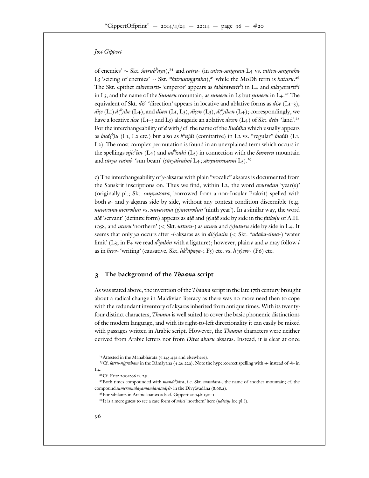of enemies' ~ Skt. *śatrub<sup>h</sup>aya*), and catru- (in catru-sangrasa L vs. sattru-sangraha L 'seizing of enemies' ~ Skt. \*s'atrusamgraha), while the MoDh term is haturu. The Skt. epithet *cakravarti*- 'emperor' appears as *śakkravartt<sup>h</sup>i* in L and sakryavartt<sup>h</sup>i in L, and the name of the *Sumeru* mountain, as *sumeru* in L but *sumeru* in L. equivalent of Skt. *di*s-'direction' appears in locative and ablative forms as *dise* (L – ), *dise* (L )  $d^b$  *ihe* (L ), and *disen* (L , L ), *disen* (L ),  $d^b$  *ihen* (L ); correspondingly, we have a locative *dese* ( $L -$  and  $L$ ) alongside an ablative *decen* ( $L$ ) of Skt. *desa* 'land'. For the interchangeability of d with j cf. the name of the *Buddha* which usually appears as bud(<sup>h</sup>)u (L, L etc.) but also as b<sup>h</sup>ujāi (comitative) in L vs. "regular" budāi (L, L ). The most complex permutation is found in an unexplained term which occurs in the spellings *ujic<sup>h</sup>isu* (L) and *udhisahi* (L) in connection with the Sumeru mountain and sūrya-raśmi- 'sun-beam' (śūryāiraśmi L; sūryainrasumi L).

c) The interchangeability of y-akṣaras with plain "vocalic" akṣaras is documented from the Sanskrit inscriptions on. Thus we find, within  $L$ , the word *avurodun* 'year(s)' (originally pl.; Skt. *samvatsara*, borrowed from a non-Insular Prakrit) spelled with both  $a$ - and y-aksaras side by side, without any context condition discernible (e.g. nuvavana avurodun vs. nuvavana  $(y)$ avurodun 'ninth year'). In a similar way, the word *alā* 'servant' (definite form) appears as *alā* and  $(y)$ alā side by side in the fatkolu of A.H.

, and uturu 'northern' (< Skt. uttara-) as uturu and (y)uturu side by side in L. It seems that only ya occurs after -i-akṣaras as in  $di(y)asin \ (<\ Skt.$  \*udaka-sīma-) 'water limit' (L; in F we read  $d^by$ ahin with a ligature); however, plain e and u may follow i as in lievv- 'writing' (causative, Skt. lik<sup>h</sup>apaya-; F ) etc. vs. li(y)evv- (F ) etc.

#### **The background of the** *Thaana* **script**

As was stated above, the invention of the *Thaana* script in the late the century brought about a radical change in Maldivian literacy as there was no more need then to cope with the redundant inventory of aksaras inherited from antique times. With its twentyfour distinct characters, *Thaana* is well suited to cover the basic phonemic distinctions of the modern language, and with its right-to-left directionality it can easily be mixed with passages written in Arabic script. However, the *Thaana* characters were neither derived from Arabic letters nor from *Dives akuru* akṣaras. Instead, it is clear at once

Attested in the Mahābhārata ( . . . a and elsewhere).

Cf.  $\acute{x}atru-nigraham$  in the Rāmāyana ( . . a). Note the hypercorrect spelling with -s- instead of -h- in  $L$  .

 $Cf.$  Fritz  $\cdot$  n.

Both times compounded with  $mand<sup>(h)</sup>$ āra, i.e. Skt. mandara-, the name of another mountain; cf. the compound sumerumalayamandarasadysi- in the Divyavadana ( . . ).

For sibilants in Arabic loanwords cf. Gippert b:

It is a mere guess to see a case form of udīcī 'northern' here (udīcīsu loc.pl.?).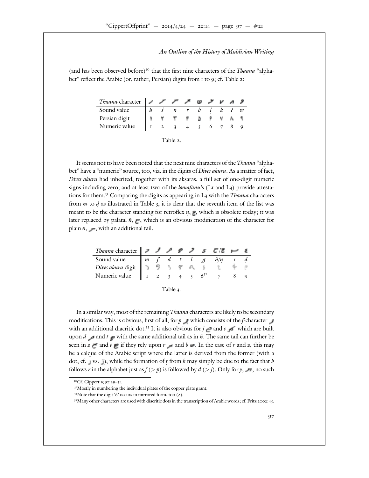(and has been observed before) that the first nine characters of the *Thaana* "alphabet" reflect the Arabic (or, rather, Persian) digits from to ; cf. Table :

| <i>Thaana</i> character $\ $ <b>/ / / / <i>/ v v</i></b> |  |             |    |           |     |  |
|----------------------------------------------------------|--|-------------|----|-----------|-----|--|
| Sound value                                              |  | $n \quad r$ |    | b l k ? w |     |  |
| Persian digit                                            |  |             | Ø. |           | ÷А, |  |
| Numeric value                                            |  |             |    |           |     |  |

| ank |
|-----|
|-----|

It seems not to have been noted that the next nine characters of the *Thaana* "alphabet" have a "numeric" source, too, viz. in the digits of *Dives akuru*. As a matter of fact, Dives akuru had inherited, together with its aksaras, a full set of one-digit numeric signs including zero, and at least two of the  $l\bar{\omega}$  ma $\bar{\omega}$  and  $L$  ) provide attestations for them. Comparing the digits as appearing in L with the *Thaana* characters from *m* to  $d$  as illustrated in Table  $\,$ , it is clear that the seventh item of the list was meant to be the character standing for retroflex  $n,$   $\bullet$  which is obsolete today; it was later replaced by palatal  $\tilde{n}$ ,  $\blacksquare$ , which is an obvious modification of the character for plain  $n$ ,  $\rightarrow$ , with an additional tail.

| Theono character $\mathcal{J}$ is $\mathcal{J}$ is $\mathcal{L}/\mathcal{E}$ in it.    |  |  |  |               |  |
|----------------------------------------------------------------------------------------|--|--|--|---------------|--|
| Sound value $\ m f \ d t \ L g$                                                        |  |  |  | $\tilde{n}/n$ |  |
| <i>Dives akuru</i> digit $\ \rightarrow$ 9 $\ \rightarrow$ <i>9</i> $\#$ <i>9</i> $\#$ |  |  |  |               |  |
| Numeric value                                                                          |  |  |  |               |  |

| ٦<br>И<br>Ł |  |  |  |
|-------------|--|--|--|
|-------------|--|--|--|

In a similar way, most of the remaining *Thaana* characters are likely to be secondary modifications. This is obvious, first of all, for  $p$  which consists of the f-character  $\blacksquare$ with an additional diacritic dot. It is also obvious for  $j =$  and  $c = d$  which are built upon  $d \rightarrow$  and  $t \rightarrow$  with the same additional tail as in  $\tilde{n}$ . The same tail can further be seen in  $z =$  and  $t \equiv$  if they rely upon  $r =$  and  $b =$ . In the case of  $r$  and  $z$ , this may be a calque of the Arabic script where the latter is derived from the former (with a dot, cf.  $\Box$  vs.  $\Box$ ), while the formation of  $t$  from  $b$  may simply be due to the fact that  $b$ follows r in the alphabet just as  $f(\gt p)$  is followed by  $d(\gt j)$ . Only for y,  $\Rightarrow$ , no such

 $Cf. Gippert$  :  $-$ 

Mostly in numbering the individual plates of the copper plate grant.

Note that the digit ' ' occurs in mirrored form, too ( ).

Many other characters are used with diacritic dots in the transcription of Arabic words; cf. Fritz  $\qquad \qquad$